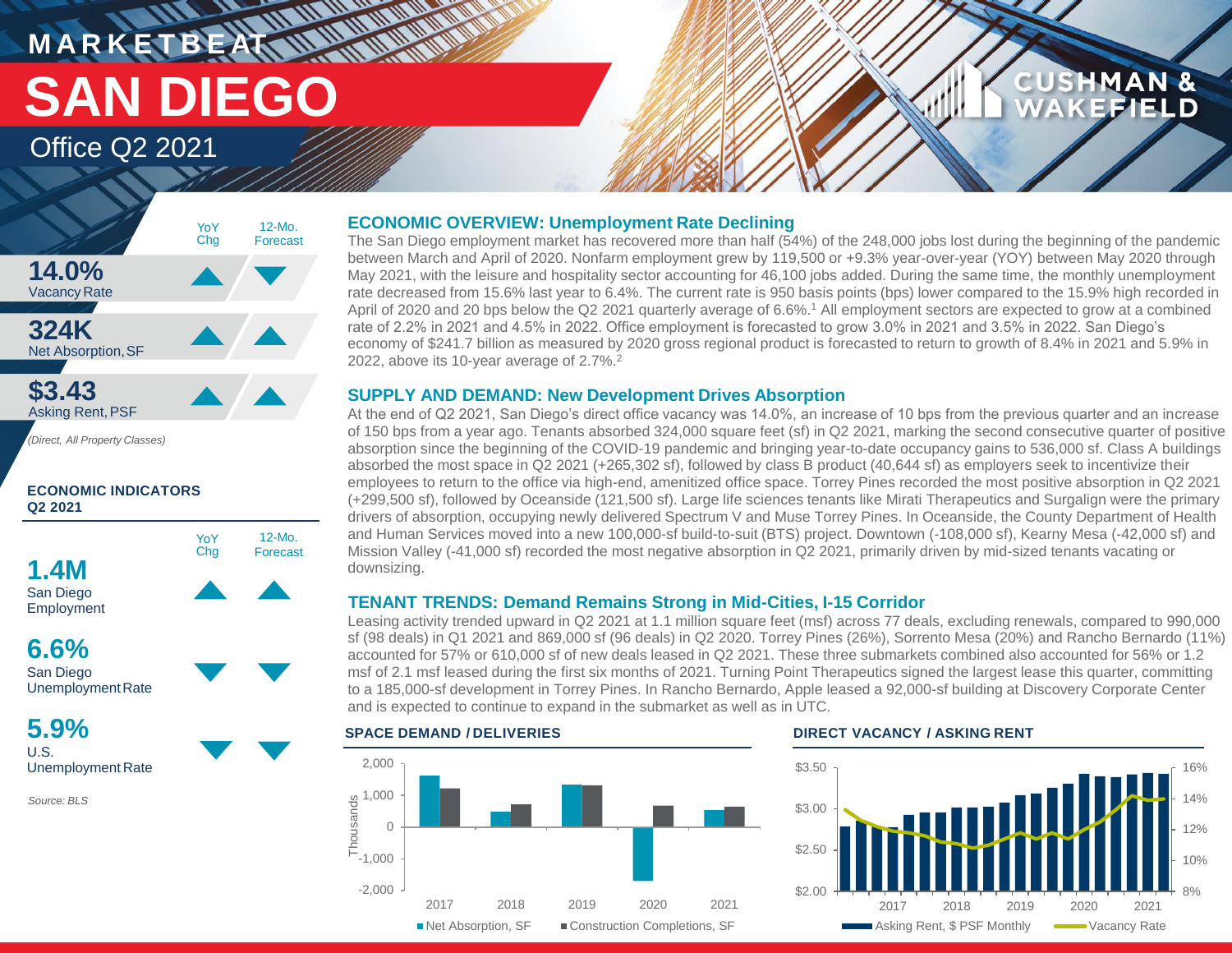## **HARRY AND WAR M A R K E T B E AT SAN DIEGO**

### Office Q2 2021



**ECONOMIC INDICATORS Q2 2021**



**5.9%** U.S. Unemployment Rate

*Source: BLS*

#### **ECONOMIC OVERVIEW: Unemployment Rate Declining**

The San Diego employment market has recovered more than half (54%) of the 248,000 jobs lost during the beginning of the pandemic between March and April of 2020. Nonfarm employment grew by 119,500 or +9.3% year-over-year (YOY) between May 2020 through May 2021, with the leisure and hospitality sector accounting for 46,100 jobs added. During the same time, the monthly unemployment rate decreased from 15.6% last year to 6.4%. The current rate is 950 basis points (bps) lower compared to the 15.9% high recorded in April of 2020 and 20 bps below the Q2 2021 quarterly average of 6.6%.<sup>1</sup> All employment sectors are expected to grow at a combined rate of 2.2% in 2021 and 4.5% in 2022. Office employment is forecasted to grow 3.0% in 2021 and 3.5% in 2022. San Diego's economy of \$241.7 billion as measured by 2020 gross regional product is forecasted to return to growth of 8.4% in 2021 and 5.9% in 2022, above its 10-year average of 2.7%.<sup>2</sup>

#### **SUPPLY AND DEMAND: New Development Drives Absorption**

At the end of Q2 2021, San Diego's direct office vacancy was 14.0%, an increase of 10 bps from the previous quarter and an increase of 150 bps from a year ago. Tenants absorbed 324,000 square feet (sf) in Q2 2021, marking the second consecutive quarter of positive absorption since the beginning of the COVID-19 pandemic and bringing year-to-date occupancy gains to 536,000 sf. Class A buildings absorbed the most space in Q2 2021 (+265,302 sf), followed by class B product (40,644 sf) as employers seek to incentivize their employees to return to the office via high-end, amenitized office space. Torrey Pines recorded the most positive absorption in Q2 2021 (+299,500 sf), followed by Oceanside (121,500 sf). Large life sciences tenants like Mirati Therapeutics and Surgalign were the primary drivers of absorption, occupying newly delivered Spectrum V and Muse Torrey Pines. In Oceanside, the County Department of Health and Human Services moved into a new 100,000-sf build-to-suit (BTS) project. Downtown (-108,000 sf), Kearny Mesa (-42,000 sf) and Mission Valley (-41,000 sf) recorded the most negative absorption in Q2 2021, primarily driven by mid-sized tenants vacating or downsizing.

### **TENANT TRENDS: Demand Remains Strong in Mid-Cities, I-15 Corridor**

Leasing activity trended upward in Q2 2021 at 1.1 million square feet (msf) across 77 deals, excluding renewals, compared to 990,000 sf (98 deals) in Q1 2021 and 869,000 sf (96 deals) in Q2 2020. Torrey Pines (26%), Sorrento Mesa (20%) and Rancho Bernardo (11%) accounted for 57% or 610,000 sf of new deals leased in Q2 2021. These three submarkets combined also accounted for 56% or 1.2 msf of 2.1 msf leased during the first six months of 2021. Turning Point Therapeutics signed the largest lease this quarter, committing to a 185,000-sf development in Torrey Pines. In Rancho Bernardo, Apple leased a 92,000-sf building at Discovery Corporate Center and is expected to continue to expand in the submarket as well as in UTC.





**CUSHMAN &** 

۳

FIELD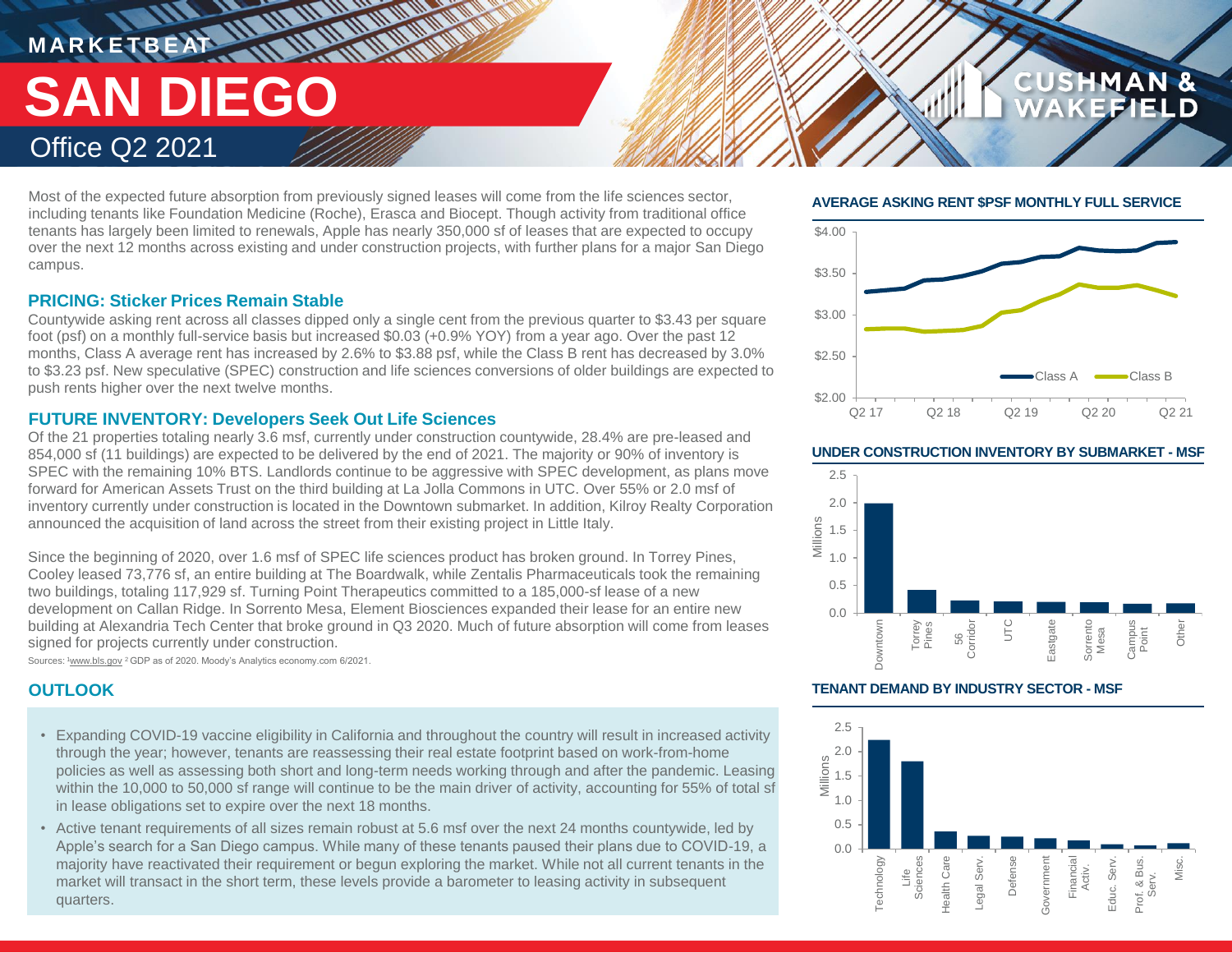# **MARKETBEAT ALAM WANTED** Office Q2 2021 **SAN DIEGO**

Most of the expected future absorption from previously signed leases will come from the life sciences sector, including tenants like Foundation Medicine (Roche), Erasca and Biocept. Though activity from traditional office tenants has largely been limited to renewals, Apple has nearly 350,000 sf of leases that are expected to occupy over the next 12 months across existing and under construction projects, with further plans for a major San Diego campus.

### **PRICING: Sticker Prices Remain Stable**

Countywide asking rent across all classes dipped only a single cent from the previous quarter to \$3.43 per square foot (psf) on a monthly full-service basis but increased \$0.03 (+0.9% YOY) from a year ago. Over the past 12 months, Class A average rent has increased by 2.6% to \$3.88 psf, while the Class B rent has decreased by 3.0% to \$3.23 psf. New speculative (SPEC) construction and life sciences conversions of older buildings are expected to push rents higher over the next twelve months.

#### **FUTURE INVENTORY: Developers Seek Out Life Sciences**

Of the 21 properties totaling nearly 3.6 msf, currently under construction countywide, 28.4% are pre-leased and 854,000 sf (11 buildings) are expected to be delivered by the end of 2021. The majority or 90% of inventory is SPEC with the remaining 10% BTS. Landlords continue to be aggressive with SPEC development, as plans move forward for American Assets Trust on the third building at La Jolla Commons in UTC. Over 55% or 2.0 msf of inventory currently under construction is located in the Downtown submarket. In addition, Kilroy Realty Corporation announced the acquisition of land across the street from their existing project in Little Italy.

Since the beginning of 2020, over 1.6 msf of SPEC life sciences product has broken ground. In Torrey Pines, Cooley leased 73,776 sf, an entire building at The Boardwalk, while Zentalis Pharmaceuticals took the remaining two buildings, totaling 117,929 sf. Turning Point Therapeutics committed to a 185,000-sf lease of a new development on Callan Ridge. In Sorrento Mesa, Element Biosciences expanded their lease for an entire new building at Alexandria Tech Center that broke ground in Q3 2020. Much of future absorption will come from leases signed for projects currently under construction.

Sources: <sup>1</sup>www.bls.gov <sup>2</sup> GDP as of 2020. Moody's Analytics economy.com 6/2021.

- Expanding COVID-19 vaccine eligibility in California and throughout the country will result in increased activity through the year; however, tenants are reassessing their real estate footprint based on work-from-home policies as well as assessing both short and long-term needs working through and after the pandemic. Leasing within the 10,000 to 50,000 sf range will continue to be the main driver of activity, accounting for 55% of total sf in lease obligations set to expire over the next 18 months.
- Active tenant requirements of all sizes remain robust at 5.6 msf over the next 24 months countywide, led by Apple's search for a San Diego campus. While many of these tenants paused their plans due to COVID-19, a majority have reactivated their requirement or begun exploring the market. While not all current tenants in the market will transact in the short term, these levels provide a barometer to leasing activity in subsequent quarters.

#### **AVERAGE ASKING RENT \$PSF MONTHLY FULL SERVICE**

**CUSHMAN &** 

FFIELD



#### **UNDER CONSTRUCTION INVENTORY BY SUBMARKET - MSF**



#### **OUTLOOK TENANT DEMAND BY INDUSTRY SECTOR - MSF**

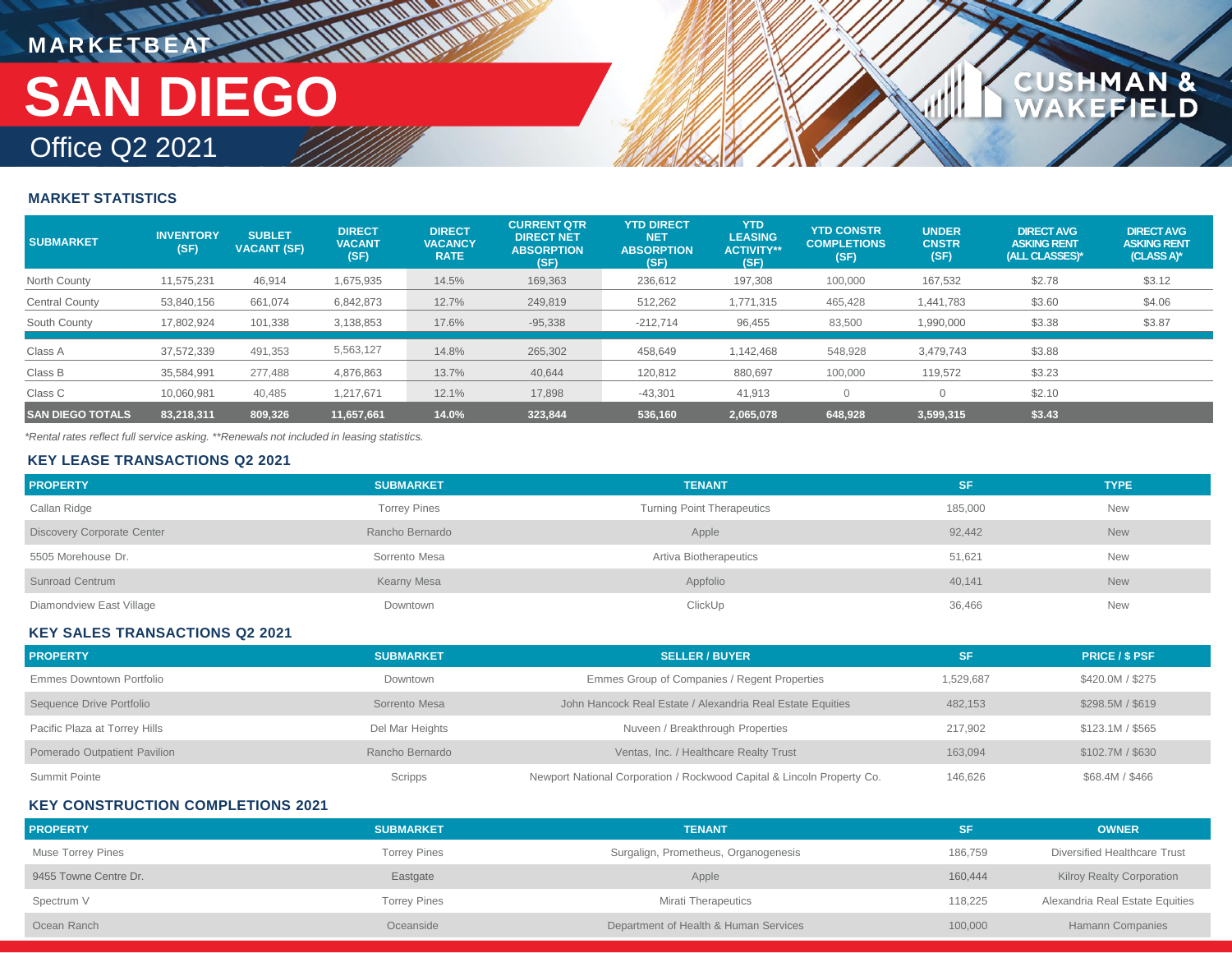# **MARKETBEAT IN UNIVERSITY** Office Q2 2021 **SAN DIEGO**

#### **MARKET STATISTICS**

| <b>SUBMARKET</b>        | <b>INVENTORY</b><br>(SF) | <b>SUBLET</b><br><b>VACANT (SF)</b> | <b>DIRECT</b><br><b>VACANT</b><br>(SF) | <b>DIRECT</b><br><b>VACANCY</b><br><b>RATE</b> | <b>CURRENT QTR</b><br><b>DIRECT NET</b><br><b>ABSORPTION</b><br>(SF) | <b>YTD DIRECT</b><br><b>NET</b><br><b>ABSORPTION</b><br>(SF) | <b>YTD</b><br><b>LEASING</b><br><b>ACTIVITY**</b><br>(SF) | <b>YTD CONSTR</b><br><b>COMPLETIONS</b><br>(SF) | <b>UNDER</b><br><b>CNSTR</b><br>(SF) | <b>DIRECT AVG</b><br><b>ASKING RENT</b><br>(ALL CLASSES)* | <b>DIRECT AVG</b><br><b>ASKING RENT</b><br>(CLASS A)* |
|-------------------------|--------------------------|-------------------------------------|----------------------------------------|------------------------------------------------|----------------------------------------------------------------------|--------------------------------------------------------------|-----------------------------------------------------------|-------------------------------------------------|--------------------------------------|-----------------------------------------------------------|-------------------------------------------------------|
| North County            | 11,575,231               | 46,914                              | 1,675,935                              | 14.5%                                          | 169,363                                                              | 236,612                                                      | 197,308                                                   | 100,000                                         | 167,532                              | \$2.78                                                    | \$3.12                                                |
| Central County          | 53,840,156               | 661,074                             | 6,842,873                              | 12.7%                                          | 249,819                                                              | 512,262                                                      | 1,771,315                                                 | 465,428                                         | 1,441,783                            | \$3.60                                                    | \$4.06                                                |
| South County            | 17,802,924               | 101,338                             | 3,138,853                              | 17.6%                                          | $-95,338$                                                            | $-212,714$                                                   | 96,455                                                    | 83,500                                          | 1,990,000                            | \$3.38                                                    | \$3.87                                                |
| Class A                 | 37,572,339               | 491,353                             | 5,563,127                              | 14.8%                                          | 265,302                                                              | 458,649                                                      | 1,142,468                                                 | 548,928                                         | 3,479,743                            | \$3.88                                                    |                                                       |
| Class B                 | 35,584,991               | 277,488                             | 4,876,863                              | 13.7%                                          | 40,644                                                               | 120,812                                                      | 880,697                                                   | 100,000                                         | 119,572                              | \$3.23                                                    |                                                       |
| Class C                 | 10,060,981               | 40,485                              | 1,217,671                              | 12.1%                                          | 17,898                                                               | $-43,301$                                                    | 41,913                                                    |                                                 |                                      | \$2.10                                                    |                                                       |
| <b>SAN DIEGO TOTALS</b> | 83.218.311               | 809,326                             | 11,657,661                             | 14.0%                                          | 323,844                                                              | 536,160                                                      | 2,065,078                                                 | 648,928                                         | 3,599,315                            | \$3.43                                                    |                                                       |

**CUSHMAN &<br>WAKEFIELD** 

*\*Rental rates reflect full service asking. \*\*Renewals not included in leasing statistics.*

#### **KEY LEASE TRANSACTIONS Q2 2021**

| <b>PROPERTY</b>                   | <b>SUBMARKET</b>    | <b>TENANT</b>                     | SF      | <b>TYPE</b> |
|-----------------------------------|---------------------|-----------------------------------|---------|-------------|
| Callan Ridge                      | <b>Torrey Pines</b> | <b>Turning Point Therapeutics</b> | 185,000 | New         |
| <b>Discovery Corporate Center</b> | Rancho Bernardo     | Apple                             | 92,442  | <b>New</b>  |
| 5505 Morehouse Dr.                | Sorrento Mesa       | Artiva Biotherapeutics            | 51,621  | <b>New</b>  |
| <b>Sunroad Centrum</b>            | Kearny Mesa         | Appfolio                          | 40.141  | <b>New</b>  |
| Diamondview East Village          | Downtown            | ClickUp                           | 36,466  | <b>New</b>  |

#### **KEY SALES TRANSACTIONS Q2 2021**

| <b>PROPERTY</b>               | <b>SUBMARKET</b> | <b>SELLER / BUYER</b>                                                  | SF        | <b>PRICE / \$ PSF</b> |
|-------------------------------|------------------|------------------------------------------------------------------------|-----------|-----------------------|
| Emmes Downtown Portfolio      | Downtown         | Emmes Group of Companies / Regent Properties                           | 1,529,687 | \$420.0M / \$275      |
| Sequence Drive Portfolio      | Sorrento Mesa    | John Hancock Real Estate / Alexandria Real Estate Equities             | 482.153   | \$298.5M / \$619      |
| Pacific Plaza at Torrey Hills | Del Mar Heights  | Nuveen / Breakthrough Properties                                       | 217.902   | \$123.1M / \$565      |
| Pomerado Outpatient Pavilion  | Rancho Bernardo  | Ventas, Inc. / Healthcare Realty Trust                                 | 163.094   | \$102.7M / \$630      |
| Summit Pointe                 | Scripps          | Newport National Corporation / Rockwood Capital & Lincoln Property Co. | 146,626   | \$68.4M / \$466       |

#### **KEY CONSTRUCTION COMPLETIONS 2021**

| <b>PROPERTY</b>       | <b>SUBMARKET</b>    | <b>TENANT</b>                         | SF      | <b>OWNER</b>                     |
|-----------------------|---------------------|---------------------------------------|---------|----------------------------------|
| Muse Torrey Pines     | <b>Torrey Pines</b> | Surgalign, Prometheus, Organogenesis  | 186,759 | Diversified Healthcare Trust     |
| 9455 Towne Centre Dr. | Eastgate            | Apple                                 | 160,444 | <b>Kilroy Realty Corporation</b> |
| Spectrum V            | <b>Torrey Pines</b> | <b>Mirati Therapeutics</b>            | 118,225 | Alexandria Real Estate Equities  |
| Ocean Ranch           | Oceanside           | Department of Health & Human Services | 100,000 | <b>Hamann Companies</b>          |